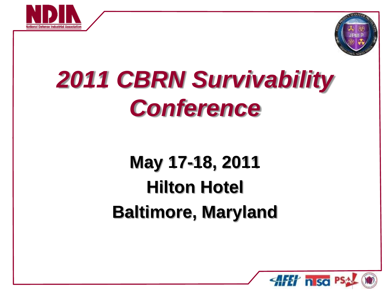



## **May 17-18, 2011 Hilton Hotel Baltimore, Maryland**

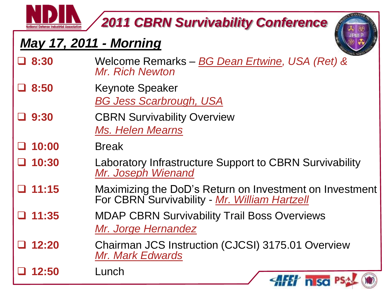## *May 17, 2011 - Morning*



| $\Box$ 8:30     | Welcome Remarks - BG Dean Ertwine, USA (Ret) &<br>Mr. Rich Newton                                        |
|-----------------|----------------------------------------------------------------------------------------------------------|
| $\Box$ 8:50     | <b>Keynote Speaker</b><br><b>BG Jess Scarbrough, USA</b>                                                 |
| $\Box$ 9:30     | <b>CBRN Survivability Overview</b><br><b>Ms. Helen Mearns</b>                                            |
| $\Box$ 10:00    | <b>Break</b>                                                                                             |
| $\Box$ 10:30    | Laboratory Infrastructure Support to CBRN Survivability<br>Mr. Joseph Wienand                            |
| $\Box$ 11:15    | Maximizing the DoD's Return on Investment on Investment<br>For CBRN Survivability - Mr. William Hartzell |
| $\Box$ 11:35    | <b>MDAP CBRN Survivability Trail Boss Overviews</b><br>Mr. Jorge Hernandez                               |
| $\Box$ 12:20    | Chairman JCS Instruction (CJCSI) 3175.01 Overview<br>Mr. Mark Edwards                                    |
| $\Box$<br>12:50 | Lunch<br>$\left\langle \mathbf{A} \mathbf{F} \mathbf{F} \right\rangle$ n so PSA                          |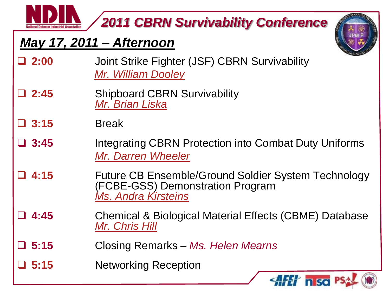#### *May 17, 2011 – Afternoon*



- **2:00** Joint Strike Fighter (JSF) CBRN Survivability *[Mr. William Dooley](Briefs/Dooley - Final NDIA Conf Brief - 25 April.pptx)*
- **2:45** Shipboard CBRN Survivability *[Mr. Brian Liska](Briefs/BRIAN LISKA.ppt)*

#### **3:15** Break

- **3:45** Integrating CBRN Protection into Combat Duty Uniforms *[Mr. Darren Wheeler](Briefs/Wheeler - 110517 Integration Brief DRAFT3 - JPEO-CBD)*
- **4:15** Future CB Ensemble/Ground Soldier System Technology (FCBE-G[SS](Briefs/Kirsteins - CBRN survivability conf Final brief17 May 11 FCBE-GSS brief KirsteinsA Final Draft.pptx)) Demonstration Program *[Ms. Andra](Briefs/Kirsteins - CBRN survivability conf Final brief17 May 11 FCBE-GSS brief KirsteinsA Final Draft.pptx) [Kirsteins](Briefs/Kirsteins - CBRN survivability conf Final brief17 May 11 FCBE-GSS brief KirsteinsA Final Draft.pptx)*
- **4:45** Chemical & Biological Material Effects (CBME) Database *[Mr. Chris Hill](Briefs/Hill - CBME Database Presentation.ppt)*
- **5:15** Closing Remarks *Ms. Helen Mearns*
- **5:15** Networking Reception

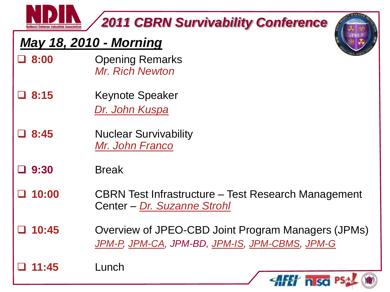## *May 18, 2010 - Morning*

- **8:00** Opening Remarks *Mr. Rich Newton*
- **8:15** Keynote Speaker *[Dr. John Kuspa](Briefs/Kuspa Nuc Surv Conf-- May 12-v3.pptx)*
- **a.** 8:45 Nuclear Survivability *[Mr. John Franco](Briefs/Franco.pptx)*

#### **9:30** Break

- **10:00** CBRN Test Infrastructure Test Research Management Center – *[Dr. Suzanne Strohl](Briefs/Strohl - Bfg To Navy CBRN Conf 17-18May11.pptx)*
- **10:45** Overview of JPEO-CBD Joint Program Managers (JPMs) *[JPM-P,](Briefs/NOT CLEARED/JPM-P.pptx) [JPM-CA,](Briefs/JPM-CA - Panel Session Brief - CBRN Survivability Conference.pptx) JPM-BD, [JPM-IS,](Briefs/JPMIS CBRN Survivability Conference1.pptx) [JPM-CBMS,](Briefs/20110518 CBMS Overview Briefing to NDIA.pptx) [JPM-G](Briefs/JPM-G - Survivability Conference May 2011.ppt)*

**11:45** Lunch



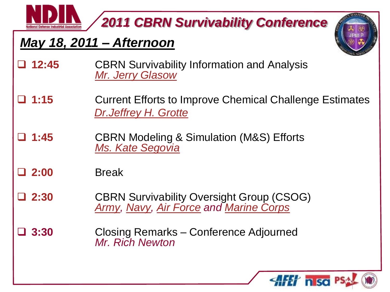#### *May 18, 2011 – Afternoon*



- **12:45** CBRN Survivability Information and Analysis *[Mr. Jerry Glasow](Briefs/Glasow CBRN Surv Brief 042711 v4.pptx)*
- **1:15** Current Efforts to Improve Chemical Challenge Estimates *[Dr.Jeffrey H. Grotte](Briefs/Grotte - NDIA Brief_041411.pptx)*
- **1:45** CBRN Modeling & Simulation (M&S) Efforts *[Ms. Kate Segovia](Briefs/NOT CLEARED/Segovia - CBRN Survivability Conference - r02 - JPEO-CBD)*

#### **2:00** Break

- **2:30** CBRN Survivability Oversight Group (CSOG) *[Army,](Briefs/NOT CLEARED/Army - USANCA to CBRN conference May 18 2011.ppt) [Navy,](Briefs/Navy - Survivabilty Conf May2011.ppt) [Air Force](Briefs/Air Force - CBRN Survivability Presentation 11 May 11.pptx) and [Marine Corps](Briefs/USMC - CBRN Survivability Conference BRIEF.ppt)*
- **3:30** Closing Remarks Conference Adjourned *Mr. Rich Newton*